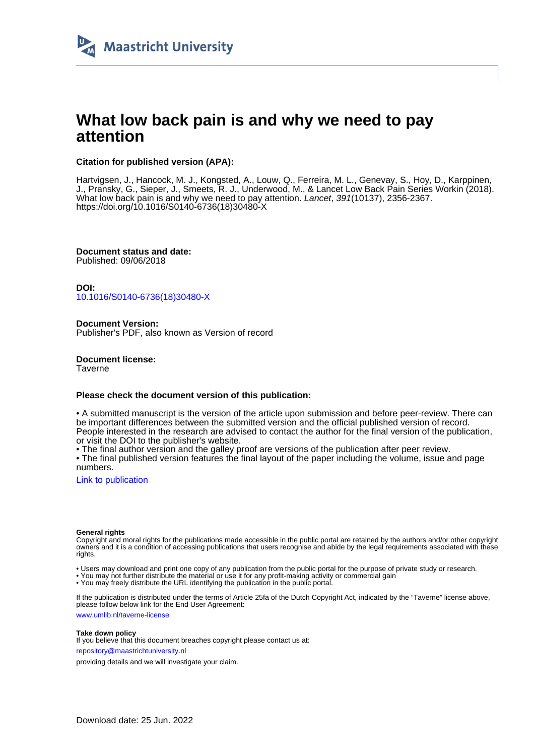

## **What low back pain is and why we need to pay attention**

### **Citation for published version (APA):**

Hartvigsen, J., Hancock, M. J., Kongsted, A., Louw, Q., Ferreira, M. L., Genevay, S., Hoy, D., Karppinen, J., Pransky, G., Sieper, J., Smeets, R. J., Underwood, M., & Lancet Low Back Pain Series Workin (2018). What low back pain is and why we need to pay attention. *Lancet*, 391(10137), 2356-2367. [https://doi.org/10.1016/S0140-6736\(18\)30480-X](https://doi.org/10.1016/S0140-6736(18)30480-X)

**Document status and date:** Published: 09/06/2018

**DOI:** [10.1016/S0140-6736\(18\)30480-X](https://doi.org/10.1016/S0140-6736(18)30480-X)

**Document Version:** Publisher's PDF, also known as Version of record

**Document license: Taverne** 

#### **Please check the document version of this publication:**

• A submitted manuscript is the version of the article upon submission and before peer-review. There can be important differences between the submitted version and the official published version of record. People interested in the research are advised to contact the author for the final version of the publication, or visit the DOI to the publisher's website.

• The final author version and the galley proof are versions of the publication after peer review.

• The final published version features the final layout of the paper including the volume, issue and page numbers.

[Link to publication](https://cris.maastrichtuniversity.nl/en/publications/950569e0-85cb-4562-9fb4-e53f25723cc0)

#### **General rights**

Copyright and moral rights for the publications made accessible in the public portal are retained by the authors and/or other copyright owners and it is a condition of accessing publications that users recognise and abide by the legal requirements associated with these rights.

• Users may download and print one copy of any publication from the public portal for the purpose of private study or research.

• You may not further distribute the material or use it for any profit-making activity or commercial gain

• You may freely distribute the URL identifying the publication in the public portal.

If the publication is distributed under the terms of Article 25fa of the Dutch Copyright Act, indicated by the "Taverne" license above, please follow below link for the End User Agreement:

www.umlib.nl/taverne-license

#### **Take down policy**

If you believe that this document breaches copyright please contact us at: repository@maastrichtuniversity.nl

providing details and we will investigate your claim.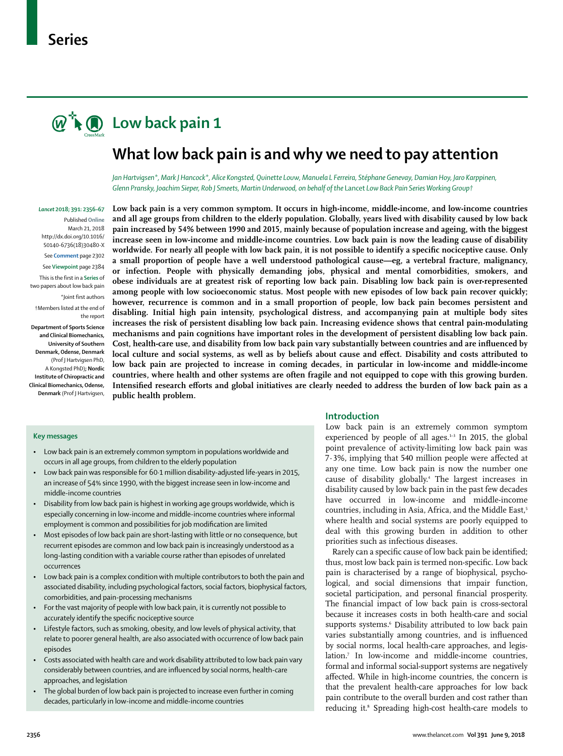# $\mathbb{Q}^n$  **Low back pain 1**

# **What low back pain is and why we need to pay attention**

*Jan Hartvigsen\*, Mark J Hancock\*, Alice Kongsted, Quinette Louw, Manuela L Ferreira, Stéphane Genevay, Damian Hoy, Jaro Karppinen, Glenn Pransky, Joachim Sieper, Rob J Smeets, Martin Underwood, on behalf of the* Lancet *Low Back Pain Series Working Group†*

#### *Lancet* **2018; 391: 2356–67**

Published **Online** March 21, 2018 http://dx.doi.org/10.1016/ S0140-6736(18)30480-X

See **Comment** page 2302

See **Viewpoint** page 2384 This is the first in a **Series** of

two papers about low back pain \*Joint first authors

†Members listed at the end of the report

**Department of Sports Science and Clinical Biomechanics, University of Southern Denmark, Odense, Denmark**  (Prof J Hartvigsen PhD, A Kongsted PhD)**; Nordic Institute of Chiropractic and Clinical Biomechanics, Odense, Denmark** (Prof J Hartvigsen, **Low back pain is a very common symptom. It occurs in high-income, middle-income, and low-income countries and all age groups from children to the elderly population. Globally, years lived with disability caused by low back pain increased by 54% between 1990 and 2015, mainly because of population increase and ageing, with the biggest increase seen in low-income and middle-income countries. Low back pain is now the leading cause of disability worldwide. For nearly all people with low back pain, it is not possible to identify a specific nociceptive cause. Only a small proportion of people have a well understood pathological cause—eg, a vertebral fracture, malignancy, or infection. People with physically demanding jobs, physical and mental comorbidities, smokers, and obese individuals are at greatest risk of reporting low back pain. Disabling low back pain is over-represented among people with low socioeconomic status. Most people with new episodes of low back pain recover quickly; however, recurrence is common and in a small proportion of people, low back pain becomes persistent and disabling. Initial high pain intensity, psychological distress, and accompanying pain at multiple body sites increases the risk of persistent disabling low back pain. Increasing evidence shows that central pain-modulating mechanisms and pain cognitions have important roles in the development of persistent disabling low back pain. Cost, health-care use, and disability from low back pain vary substantially between countries and are influenced by local culture and social systems, as well as by beliefs about cause and effect. Disability and costs attributed to low back pain are projected to increase in coming decades, in particular in low-income and middle-income countries, where health and other systems are often fragile and not equipped to cope with this growing burden. Intensified research efforts and global initiatives are clearly needed to address the burden of low back pain as a public health problem.**

#### **Key messages**

- Low back pain is an extremely common symptom in populations worldwide and occurs in all age groups, from children to the elderly population
- Low back pain was responsible for 60·1 million disability-adjusted life-years in 2015, an increase of 54% since 1990, with the biggest increase seen in low-income and middle-income countries
- Disability from low back pain is highest in working age groups worldwide, which is especially concerning in low-income and middle-income countries where informal employment is common and possibilities for job modification are limited
- Most episodes of low back pain are short-lasting with little or no consequence, but recurrent episodes are common and low back pain is increasingly understood as a long-lasting condition with a variable course rather than episodes of unrelated occurrences
- Low back pain is a complex condition with multiple contributors to both the pain and associated disability, including psychological factors, social factors, biophysical factors, comorbidities, and pain-processing mechanisms
- For the vast majority of people with low back pain, it is currently not possible to accurately identify the specific nociceptive source
- Lifestyle factors, such as smoking, obesity, and low levels of physical activity, that relate to poorer general health, are also associated with occurrence of low back pain episodes
- Costs associated with health care and work disability attributed to low back pain vary considerably between countries, and are influenced by social norms, health-care approaches, and legislation
- The global burden of low back pain is projected to increase even further in coming decades, particularly in low-income and middle-income countries

#### **Introduction**

Low back pain is an extremely common symptom experienced by people of all ages. $1-3$  In 2015, the global point prevalence of activity-limiting low back pain was 7·3%, implying that 540 million people were affected at any one time. Low back pain is now the number one cause of disability globally.4 The largest increases in disability caused by low back pain in the past few decades have occurred in low-income and middle-income countries, including in Asia, Africa, and the Middle East,<sup>5</sup> where health and social systems are poorly equipped to deal with this growing burden in addition to other priorities such as infectious diseases.

Rarely can a specific cause of low back pain be identified; thus, most low back pain is termed non-specific. Low back pain is characterised by a range of biophysical, psychological, and social dimensions that impair function, societal participation, and personal financial prosperity. The financial impact of low back pain is cross-sectoral because it increases costs in both health-care and social supports systems.<sup>6</sup> Disability attributed to low back pain varies substantially among countries, and is influenced by social norms, local health-care approaches, and legislation.<sup>7</sup> In low-income and middle-income countries, formal and informal social-support systems are negatively affected. While in high-income countries, the concern is that the prevalent health-care approaches for low back pain contribute to the overall burden and cost rather than reducing it.<sup>8</sup> Spreading high-cost health-care models to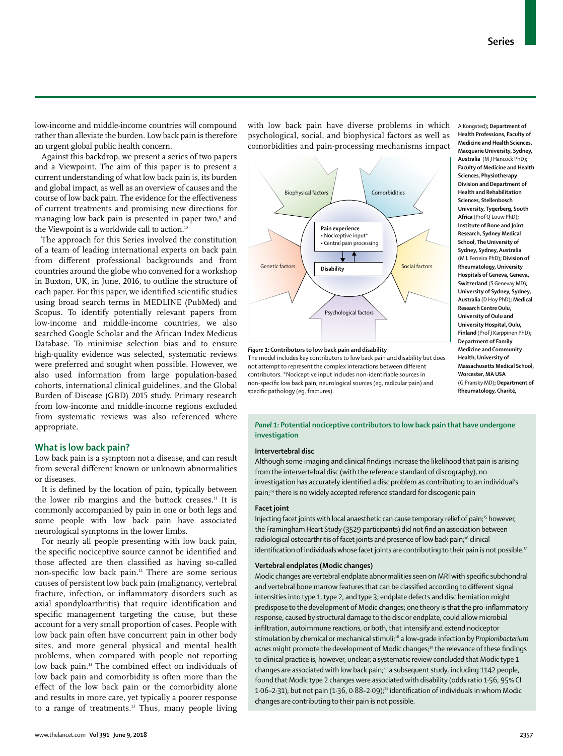www.thelancet.com**Vol 391 June 9, 2018 2357**

low-income and middle-income countries will compound rather than alleviate the burden. Low back pain is therefore an urgent global public health concern.

Against this backdrop, we present a series of two papers and a Viewpoint. The aim of this paper is to present a current understanding of what low back pain is, its burden and global impact, as well as an overview of causes and the course of low back pain. The evidence for the effectiveness of current treatments and promising new directions for managing low back pain is presented in paper two,<sup>9</sup> and the Viewpoint is a worldwide call to action.<sup>10</sup>

The approach for this Series involved the constitution of a team of leading international experts on back pain from different professional backgrounds and from countries around the globe who convened for a workshop in Buxton, UK, in June, 2016, to outline the structure of each paper. For this paper, we identified scientific studies using broad search terms in MEDLINE (PubMed) and Scopus. To identify potentially relevant papers from low-income and middle-income countries, we also searched Google Scholar and the African Index Medicus Database. To minimise selection bias and to ensure high-quality evidence was selected, systematic reviews were preferred and sought when possible. However, we also used information from large population-based cohorts, international clinical guidelines, and the Global Burden of Disease (GBD) 2015 study. Primary research from low-income and middle-income regions excluded from systematic reviews was also referenced where appropriate.

## **What is low back pain?**

Low back pain is a symptom not a disease, and can result from several different known or unknown abnormalities or diseases.

It is defined by the location of pain, typically between the lower rib margins and the buttock creases.<sup>11</sup> It is commonly accompanied by pain in one or both legs and some people with low back pain have associated neurological symptoms in the lower limbs.

For nearly all people presenting with low back pain, the specific nociceptive source cannot be identified and those affected are then classified as having so-called non-specific low back pain.12 There are some serious causes of persistent low back pain (malignancy, vertebral fracture, infection, or inflammatory disorders such as axial spondyloarthritis) that require identification and specific management targeting the cause, but these account for a very small proportion of cases. People with low back pain often have concurrent pain in other body sites, and more general physical and mental health problems, when compared with people not reporting low back pain.13 The combined effect on individuals of low back pain and comorbidity is often more than the effect of the low back pain or the comorbidity alone and results in more care, yet typically a poorer response to a range of treatments.<sup>13</sup> Thus, many people living with low back pain have diverse problems in which psychological, social, and biophysical factors as well as comorbidities and pain-processing mechanisms impact



A Kongsted)**; Department of Health Professions, Faculty of Medicine and Health Sciences, Macquarie University, Sydney, Australia** (M J Hancock PhD)**; Faculty of Medicine and Health Sciences, Physiotherapy Division and Department of Health and Rehabilitation Sciences, Stellenbosch University, Tygerberg, South Africa** (Prof Q Louw PhD)**; Institute of Bone and Joint Research, Sydney Medical School, The University of Sydney, Sydney, Australia** (M L Ferreira PhD)**; Division of Rheumatology, University Hospitals of Geneva, Geneva, Switzerland** (S Genevay MD)**; University of Sydney, Sydney, Australia** (D Hoy PhD)**; Medical Research Centre Oulu, University of Oulu and University Hospital, Oulu, Finland** (Prof J Karppinen PhD)**; Department of Family Medicine and Community Health, University of Massachusetts Medical School, Worcester, MA USA** (G Pransky MD)**; Department of Rheumatology, Charité,** 

*Figure 1:* **Contributors to low back pain and disability**

The model includes key contributors to low back pain and disability but does not attempt to represent the complex interactions between different contributors. \*Nociceptive input includes non-identifiable sources in non-specific low back pain, neurological sources (eg, radicular pain) and specific pathology (eg, fractures).

#### *Panel 1:* **Potential nociceptive contributors to low back pain that have undergone investigation**

#### **Intervertebral disc**

Although some imaging and clinical findings increase the likelihood that pain is arising from the intervertebral disc (with the reference standard of discography), no investigation has accurately identified a disc problem as contributing to an individual's pain;<sup>14</sup> there is no widely accepted reference standard for discogenic pain

#### **Facet joint**

Injecting facet joints with local anaesthetic can cause temporary relief of pain;<sup>15</sup> however, the Framingham Heart Study (3529 participants) did not find an association between radiological osteoarthritis of facet joints and presence of low back pain;<sup>16</sup> clinical identification of individuals whose facet joints are contributing to their pain is not possible.<sup>17</sup>

#### **Vertebral endplates (Modic changes)**

Modic changes are vertebral endplate abnormalities seen on MRI with specific subchondral and vertebral bone marrow features that can be classified according to different signal intensities into type 1, type 2, and type 3; endplate defects and disc herniation might predispose to the development of Modic changes; one theory is that the pro-inflammatory response, caused by structural damage to the disc or endplate, could allow microbial infiltration, autoimmune reactions, or both, that intensify and extend nociceptor stimulation by chemical or mechanical stimuli;<sup>18</sup> a low-grade infection by *Propionibacterium* acnes might promote the development of Modic changes;<sup>19</sup> the relevance of these findings to clinical practice is, however, unclear; a systematic review concluded that Modic type 1 changes are associated with low back pain;<sup>20</sup> a subsequent study, including 1142 people, found that Modic type 2 changes were associated with disability (odds ratio 1·56, 95% CI 1·06–2·31), but not pain (1·36, 0·88–2·09);21 identification of individuals in whom Modic changes are contributing to their pain is not possible.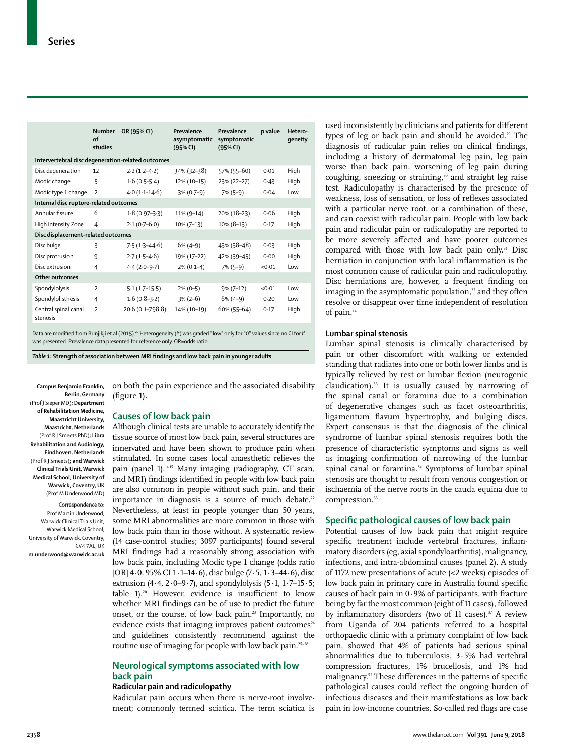|                                                   | <b>Number</b><br>of<br>studies | OR (95% CI)       | Prevalence<br>asymptomatic<br>(95% CI) | Prevalence<br>symptomatic<br>(95% CI) | p value | Hetero-<br>qeneity |  |  |
|---------------------------------------------------|--------------------------------|-------------------|----------------------------------------|---------------------------------------|---------|--------------------|--|--|
| Intervertebral disc degeneration-related outcomes |                                |                   |                                        |                                       |         |                    |  |  |
| Disc degeneration                                 | 12                             | $2.2(1.2-4.2)$    | 34% (32-38)                            | 57% (55-60)                           | 0.01    | High               |  |  |
| Modic change                                      | 5                              | $1.6(0.5-5.4)$    | 12% (10-15)                            | 23% (22-27)                           | 0.43    | High               |  |  |
| Modic type 1 change                               | $\overline{\phantom{a}}$       | $4.0(1.1-14.6)$   | $3\%$ (0.7-9)                          | $7\%$ (5-9)                           | 0.04    | Low                |  |  |
| Internal disc rupture-related outcomes            |                                |                   |                                        |                                       |         |                    |  |  |
| Annular fissure                                   | 6                              | $1.8(0.97-3.3)$   | 11% (9-14)                             | 20% (18-23)                           | 0.06    | High               |  |  |
| High Intensity Zone                               | 4                              | $2.1(0.7-6.0)$    | $10\% (7-13)$                          | $10\% (8-13)$                         | 0.17    | High               |  |  |
| Disc displacement-related outcomes                |                                |                   |                                        |                                       |         |                    |  |  |
| Disc bulge                                        | 3                              | $7.5(1.3 - 44.6)$ | $6\%$ (4–9)                            | 43% (38-48)                           | 0.03    | High               |  |  |
| Disc protrusion                                   | 9                              | $2.7(1.5-4.6)$    | 19% (17-22)                            | 42% (39-45)                           | 0.00    | High               |  |  |
| Disc extrusion                                    | 4                              | $4.4(2.0-9.7)$    | $2\%$ (0.1-4)                          | $7\%$ (5-9)                           | < 0.01  | Low                |  |  |
| Other outcomes                                    |                                |                   |                                        |                                       |         |                    |  |  |
| Spondylolysis                                     | $\overline{2}$                 | $5.1(1.7-15.5)$   | $2\% (0-5)$                            | $9\% (7-12)$                          | <0.01   | Low                |  |  |
| Spondylolisthesis                                 | 4                              | $1.6(0.8-3.2)$    | $3% (2-6)$                             | $6\%$ (4-9)                           | 0.20    | Low                |  |  |
| Central spinal canal<br>stenosis                  | $\overline{2}$                 | 20.6 (0.1-798.8)  | 14% (10-19)                            | 60% (55-64)                           | 0.17    | High               |  |  |

Data are modified from Brinjikji et al (2015).**<sup>20</sup>** Heterogeneity (*I*²) was graded "low" only for "0" values since no CI for *I*² was presented. Prevalence data presented for reference only. OR=odds ratio.

*Table 1:* **Strength of association between MRI findings and low back pain in younger adults**

**Campus Benjamin Franklin, Berlin, Germany** (Prof J Sieper MD)**; Department of Rehabilitation Medicine, Maastricht University, Maastricht, Netherlands** (Prof R J Smeets PhD)**; Libra Rehabilitation and Audiology, Eindhoven, Netherlands** (Prof R J Smeets)**; and Warwick Clinical Trials Unit, Warwick Medical School, University of Warwick, Coventry, UK** (Prof M Underwood MD)

Correspondence to: Prof Martin Underwood, Warwick Clinical Trials Unit, Warwick Medical School, University of Warwick, Coventry, CV4 7AL, UK **m.underwood@warwick.ac.uk**

on both the pain experience and the associated disability (figure 1).

#### **Causes of low back pain**

Although clinical tests are unable to accurately identify the tissue source of most low back pain, several structures are innervated and have been shown to produce pain when stimulated. In some cases local anaesthetic relieves the pain (panel 1).14,15 Many imaging (radiography, CT scan, and MRI) findings identified in people with low back pain are also common in people without such pain, and their importance in diagnosis is a source of much debate.<sup>22</sup> Nevertheless, at least in people younger than 50 years, some MRI abnormalities are more common in those with low back pain than in those without. A systematic review (14 case-control studies; 3097 participants) found several MRI findings had a reasonably strong association with low back pain, including Modic type 1 change (odds ratio [OR] 4·0, 95% CI 1·1–14·6), disc bulge (7·5, 1·3–44·6), disc extrusion (4 $\cdot$ 4, 2 $\cdot$ 0 $\rightarrow$ 9 $\cdot$ 7), and spondylolysis (5 $\cdot$ 1, 1 $\cdot$ 7 $\rightarrow$ 15 $\cdot$ 5; table 1).<sup>20</sup> However, evidence is insufficient to know whether MRI findings can be of use to predict the future onset, or the course, of low back pain.<sup>23</sup> Importantly, no evidence exists that imaging improves patient outcomes $24$ and guidelines consistently recommend against the routine use of imaging for people with low back pain.25–28

### **Neurological symptoms associated with low back pain**

#### **Radicular pain and radiculopathy**

Radicular pain occurs when there is nerve-root involvement; commonly termed sciatica. The term sciatica is used inconsistently by clinicians and patients for different types of leg or back pain and should be avoided.<sup>29</sup> The diagnosis of radicular pain relies on clinical findings, including a history of dermatomal leg pain, leg pain worse than back pain, worsening of leg pain during coughing, sneezing or straining,<sup>30</sup> and straight leg raise test. Radiculopathy is characterised by the presence of weakness, loss of sensation, or loss of reflexes associated with a particular nerve root, or a combination of these, and can coexist with radicular pain. People with low back pain and radicular pain or radiculopathy are reported to be more severely affected and have poorer outcomes compared with those with low back pain only.<sup>31</sup> Disc herniation in conjunction with local inflammation is the most common cause of radicular pain and radiculopathy. Disc herniations are, however, a frequent finding on imaging in the asymptomatic population, $22$  and they often resolve or disappear over time independent of resolution of pain.32

#### **Lumbar spinal stenosis**

Lumbar spinal stenosis is clinically characterised by pain or other discomfort with walking or extended standing that radiates into one or both lower limbs and is typically relieved by rest or lumbar flexion (neurogenic claudication).33 It is usually caused by narrowing of the spinal canal or foramina due to a combination of degenerative changes such as facet osteoarthritis, ligamentum flavum hypertrophy, and bulging discs. Expert consensus is that the diagnosis of the clinical syndrome of lumbar spinal stenosis requires both the presence of characteristic symptoms and signs as well as imaging confirmation of narrowing of the lumbar spinal canal or foramina.<sup>34</sup> Symptoms of lumbar spinal stenosis are thought to result from venous congestion or ischaemia of the nerve roots in the cauda equina due to compression.<sup>33</sup>

#### **Specific pathological causes of low back pain**

Potential causes of low back pain that might require specific treatment include vertebral fractures, inflammatory disorders (eg, axial spondyloarthritis), malignancy, infections, and intra-abdominal causes (panel 2). A study of 1172 new presentations of acute (<2 weeks) episodes of low back pain in primary care in Australia found specific causes of back pain in  $0.9\%$  of participants, with fracture being by far the most common (eight of 11 cases), followed by inflammatory disorders (two of 11 cases).<sup>37</sup> A review from Uganda of 204 patients referred to a hospital orthopaedic clinic with a primary complaint of low back pain, showed that 4% of patients had serious spinal abnormalities due to tuberculosis, 3·5% had vertebral compression fractures, 1% brucellosis, and 1% had malignancy.52 These differences in the patterns of specific pathological causes could reflect the ongoing burden of infectious diseases and their manifestations as low back pain in low-income countries. So-called red flags are case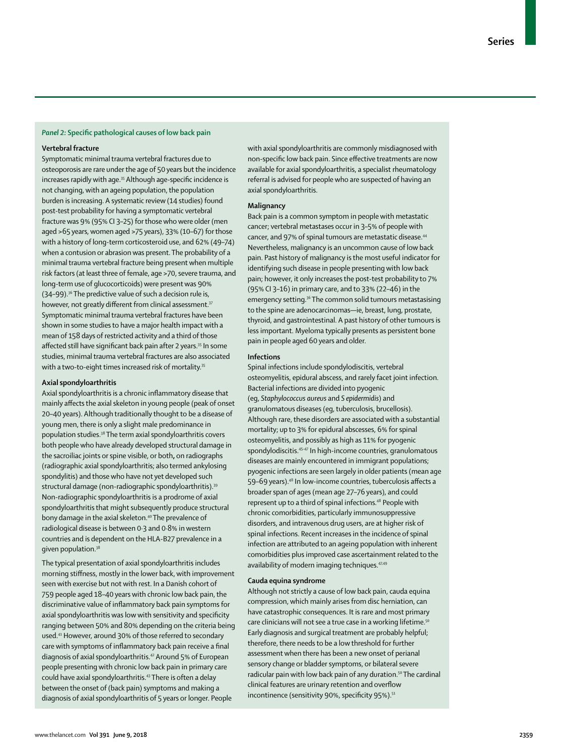#### *Panel 2:* **Specific pathological causes of low back pain**

#### **Vertebral fracture**

Symptomatic minimal trauma vertebral fractures due to osteoporosis are rare under the age of 50 years but the incidence increases rapidly with age.35 Although age-specific incidence is not changing, with an ageing population, the population burden is increasing. A systematic review (14 studies) found post-test probability for having a symptomatic vertebral fracture was 9% (95% CI 3–25) for those who were older (men aged >65 years, women aged >75 years), 33% (10–67) for those with a history of long-term corticosteroid use, and 62% (49–74) when a contusion or abrasion was present. The probability of a minimal trauma vertebral fracture being present when multiple risk factors (at least three of female, age >70, severe trauma, and long-term use of glucocorticoids) were present was 90% (34–99).36 The predictive value of such a decision rule is, however, not greatly different from clinical assessment.<sup>37</sup> Symptomatic minimal trauma vertebral fractures have been shown in some studies to have a major health impact with a mean of 158 days of restricted activity and a third of those affected still have significant back pain after 2 years.<sup>35</sup> In some studies, minimal trauma vertebral fractures are also associated with a two-to-eight times increased risk of mortality.<sup>35</sup>

#### **Axial spondyloarthritis**

Axial spondyloarthritis is a chronic inflammatory disease that mainly affects the axial skeleton in young people (peak of onset 20–40 years). Although traditionally thought to be a disease of young men, there is only a slight male predominance in population studies.38 The term axial spondyloarthritis covers both people who have already developed structural damage in the sacroiliac joints or spine visible, or both**,** on radiographs (radiographic axial spondyloarthritis; also termed ankylosing spondylitis) and those who have not yet developed such structural damage (non-radiographic spondyloarthritis).<sup>39</sup> Non-radiographic spondyloarthritis is a prodrome of axial spondyloarthritis that might subsequently produce structural bony damage in the axial skeleton.<sup>40</sup> The prevalence of radiological disease is between 0·3 and 0·8% in western countries and is dependent on the HLA-B27 prevalence in a given population.38

The typical presentation of axial spondyloarthritis includes morning stiffness, mostly in the lower back, with improvement seen with exercise but not with rest. In a Danish cohort of 759 people aged 18–40 years with chronic low back pain, the discriminative value of inflammatory back pain symptoms for axial spondyloarthritis was low with sensitivity and specificity ranging between 50% and 80% depending on the criteria being used.41 However, around 30% of those referred to secondary care with symptoms of inflammatory back pain receive a final diagnosis of axial spondyloarthritis.42 Around 5% of European people presenting with chronic low back pain in primary care could have axial spondyloarthritis.43 There is often a delay between the onset of (back pain) symptoms and making a diagnosis of axial spondyloarthritis of 5 years or longer. People

with axial spondyloarthritis are commonly misdiagnosed with non-specific low back pain. Since effective treatments are now available for axial spondyloarthritis, a specialist rheumatology referral is advised for people who are suspected of having an axial spondyloarthritis.

#### **Malignancy**

Back pain is a common symptom in people with metastatic cancer; vertebral metastases occur in 3–5% of people with cancer, and 97% of spinal tumours are metastatic disease.<sup>44</sup> Nevertheless, malignancy is an uncommon cause of low back pain. Past history of malignancy is the most useful indicator for identifying such disease in people presenting with low back pain; however, it only increases the post-test probability to 7% (95% CI 3–16) in primary care, and to 33% (22–46) in the emergency setting.36 The common solid tumours metastasising to the spine are adenocarcinomas—ie, breast, lung, prostate, thyroid, and gastrointestinal. A past history of other tumours is less important. Myeloma typically presents as persistent bone pain in people aged 60 years and older.

#### **Infections**

Spinal infections include spondylodiscitis, vertebral osteomyelitis, epidural abscess, and rarely facet joint infection. Bacterial infections are divided into pyogenic (eg, *Staphylococcus aureus* and *S epidermidis*) and granulomatous diseases (eg, tuberculosis, brucellosis). Although rare, these disorders are associated with a substantial mortality; up to 3% for epidural abscesses, 6% for spinal osteomyelitis, and possibly as high as 11% for pyogenic spondylodiscitis.45–47 In high-income countries, granulomatous diseases are mainly encountered in immigrant populations; pyogenic infections are seen largely in older patients (mean age 59–69 years).<sup>48</sup> In low-income countries, tuberculosis affects a broader span of ages (mean age 27–76 years), and could represent up to a third of spinal infections.<sup>48</sup> People with chronic comorbidities, particularly immunosuppressive disorders, and intravenous drug users, are at higher risk of spinal infections. Recent increases in the incidence of spinal infection are attributed to an ageing population with inherent comorbidities plus improved case ascertainment related to the availability of modern imaging techniques.<sup>47,49</sup>

#### **Cauda equina syndrome**

Although not strictly a cause of low back pain, cauda equina compression, which mainly arises from disc herniation, can have catastrophic consequences. It is rare and most primary care clinicians will not see a true case in a working lifetime.<sup>50</sup> Early diagnosis and surgical treatment are probably helpful; therefore, there needs to be a low threshold for further assessment when there has been a new onset of perianal sensory change or bladder symptoms, or bilateral severe radicular pain with low back pain of any duration.<sup>50</sup> The cardinal clinical features are urinary retention and overflow incontinence (sensitivity 90%, specificity 95%).<sup>51</sup>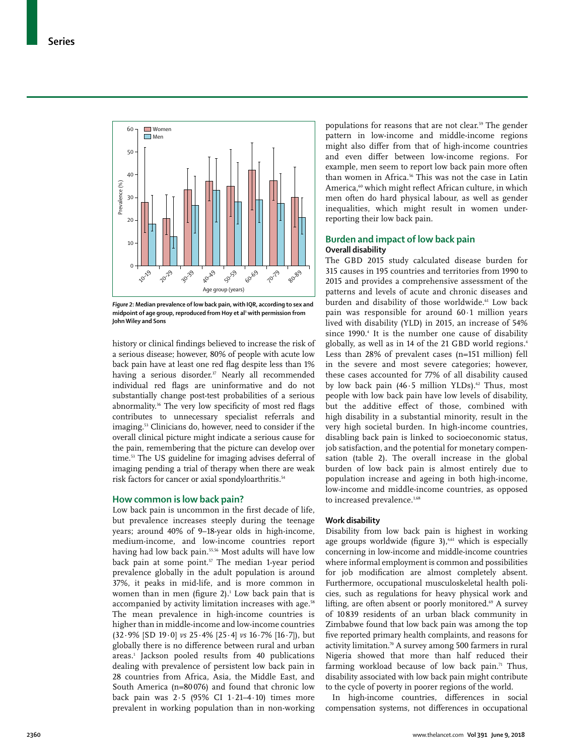

*Figure 2***: Median prevalence of low back pain, with IQR, according to sex and**  midpoint of age group, reproduced from Hoy et al<sup>1</sup> with permission from **John Wiley and Sons**

history or clinical findings believed to increase the risk of a serious disease; however, 80% of people with acute low back pain have at least one red flag despite less than 1% having a serious disorder.<sup>37</sup> Nearly all recommended individual red flags are uninformative and do not substantially change post-test probabilities of a serious abnormality.<sup>36</sup> The very low specificity of most red flags contributes to unnecessary specialist referrals and imaging.53 Clinicians do, however, need to consider if the overall clinical picture might indicate a serious cause for the pain, remembering that the picture can develop over time.<sup>53</sup> The US guideline for imaging advises deferral of imaging pending a trial of therapy when there are weak risk factors for cancer or axial spondyloarthritis.<sup>54</sup>

#### **How common is low back pain?**

Low back pain is uncommon in the first decade of life, but prevalence increases steeply during the teenage years; around 40% of 9–18-year olds in high-income, medium-income, and low-income countries report having had low back pain.<sup>55,56</sup> Most adults will have low back pain at some point.<sup>57</sup> The median 1-year period prevalence globally in the adult population is around 37%, it peaks in mid-life, and is more common in women than in men (figure  $2$ ).<sup>1</sup> Low back pain that is accompanied by activity limitation increases with age.<sup>58</sup> The mean prevalence in high-income countries is higher than in middle-income and low-income countries (32·9% [SD 19·0] *vs* 25·4% [25·4] *vs* 16·7% [16·7]), but globally there is no difference between rural and urban areas.1 Jackson pooled results from 40 publications dealing with prevalence of persistent low back pain in 28 countries from Africa, Asia, the Middle East, and South America (n=80 076) and found that chronic low back pain was 2·5 (95% CI 1·21–4·10) times more prevalent in working population than in non-working

populations for reasons that are not clear.<sup>59</sup> The gender pattern in low-income and middle-income regions might also differ from that of high-income countries and even differ between low-income regions. For example, men seem to report low back pain more often than women in Africa.<sup>56</sup> This was not the case in Latin America,<sup>60</sup> which might reflect African culture, in which men often do hard physical labour, as well as gender inequalities, which might result in women underreporting their low back pain.

#### **Burden and impact of low back pain Overall disability**

The GBD 2015 study calculated disease burden for 315 causes in 195 countries and territories from 1990 to 2015 and provides a comprehensive assessment of the patterns and levels of acute and chronic diseases and burden and disability of those worldwide.<sup>61</sup> Low back pain was responsible for around 60·1 million years lived with disability (YLD) in 2015, an increase of 54% since 1990.<sup>4</sup> It is the number one cause of disability globally, as well as in 14 of the 21 GBD world regions.<sup>4</sup> Less than 28% of prevalent cases (n=151 million) fell in the severe and most severe categories; however, these cases accounted for 77% of all disability caused by low back pain  $(46.5 \text{ million YLDs})$ .<sup>62</sup> Thus, most people with low back pain have low levels of disability, but the additive effect of those, combined with high disability in a substantial minority, result in the very high societal burden. In high-income countries, disabling back pain is linked to socioeconomic status, job satisfaction, and the potential for monetary compensation (table 2). The overall increase in the global burden of low back pain is almost entirely due to population increase and ageing in both high-income, low-income and middle-income countries, as opposed to increased prevalence.<sup>1,68</sup>

#### **Work disability**

Disability from low back pain is highest in working age groups worldwide (figure 3), $4,61$  which is especially concerning in low-income and middle-income countries where informal employment is common and possibilities for job modification are almost completely absent. Furthermore, occupational musculoskeletal health policies, such as regulations for heavy physical work and lifting, are often absent or poorly monitored.<sup>69</sup> A survey of 10 839 residents of an urban black community in Zimbabwe found that low back pain was among the top five reported primary health complaints, and reasons for activity limitation.70 A survey among 500 farmers in rural Nigeria showed that more than half reduced their farming workload because of low back pain.<sup>71</sup> Thus, disability associated with low back pain might contribute to the cycle of poverty in poorer regions of the world.

In high-income countries, differences in social compensation systems, not differences in occupational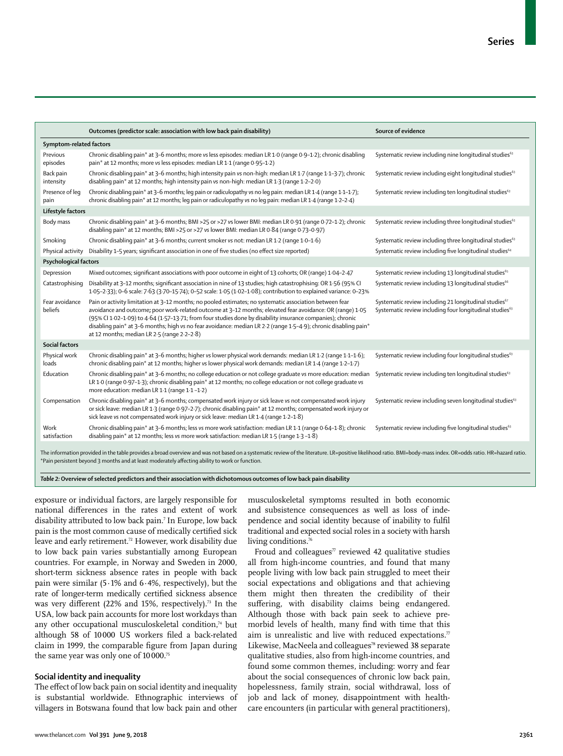|                                                                                                                                                                                                                                                                                                                   | Outcomes (predictor scale: association with low back pain disability)                                                                                                                                                                                                                                                                                                                                                                                                                                 | Source of evidence                                                                                                                       |  |  |  |  |
|-------------------------------------------------------------------------------------------------------------------------------------------------------------------------------------------------------------------------------------------------------------------------------------------------------------------|-------------------------------------------------------------------------------------------------------------------------------------------------------------------------------------------------------------------------------------------------------------------------------------------------------------------------------------------------------------------------------------------------------------------------------------------------------------------------------------------------------|------------------------------------------------------------------------------------------------------------------------------------------|--|--|--|--|
| Symptom-related factors                                                                                                                                                                                                                                                                                           |                                                                                                                                                                                                                                                                                                                                                                                                                                                                                                       |                                                                                                                                          |  |  |  |  |
| Previous<br>episodes                                                                                                                                                                                                                                                                                              | Chronic disabling pain* at 3-6 months; more vs less episodes: median LR 1.0 (range 0.9-1.2); chronic disabling<br>pain* at 12 months; more vs less episodes: median LR 1-1 (range 0-95-1-2)                                                                                                                                                                                                                                                                                                           | Systematic review including nine longitudinal studies <sup>63</sup>                                                                      |  |  |  |  |
| Back pain<br>intensity                                                                                                                                                                                                                                                                                            | Chronic disabling pain* at 3-6 months; high intensity pain vs non-high: median LR 1-7 (range 1-1-3-7); chronic<br>disabling pain* at 12 months; high intensity pain vs non-high: median LR 1-3 (range 1-2-2-0)                                                                                                                                                                                                                                                                                        | Systematic review including eight longitudinal studies <sup>63</sup>                                                                     |  |  |  |  |
| Presence of leg<br>pain                                                                                                                                                                                                                                                                                           | Chronic disabling pain* at 3-6 months; leg pain or radiculopathy vs no leg pain: median LR 1-4 (range 1-1-1-7);<br>chronic disabling pain* at 12 months; leg pain or radiculopathy vs no leg pain: median LR 1.4 (range 1.2-2.4)                                                                                                                                                                                                                                                                      | Systematic review including ten longitudinal studies <sup>63</sup>                                                                       |  |  |  |  |
| Lifestyle factors                                                                                                                                                                                                                                                                                                 |                                                                                                                                                                                                                                                                                                                                                                                                                                                                                                       |                                                                                                                                          |  |  |  |  |
| Body mass                                                                                                                                                                                                                                                                                                         | Chronic disabling pain* at 3-6 months; BMI > 25 or > 27 vs lower BMI: median LR 0.91 (range 0.72-1.2); chronic<br>disabling pain* at 12 months; BMI > 25 or > 27 vs lower BMI: median LR 0.84 (range 0.73-0.97)                                                                                                                                                                                                                                                                                       | Systematic review including three longitudinal studies <sup>63</sup>                                                                     |  |  |  |  |
| Smoking                                                                                                                                                                                                                                                                                                           | Chronic disabling pain* at 3-6 months; current smoker vs not: median LR 1-2 (range 1-0-1-6)                                                                                                                                                                                                                                                                                                                                                                                                           | Systematic review including three longitudinal studies <sup>63</sup>                                                                     |  |  |  |  |
| Physical activity                                                                                                                                                                                                                                                                                                 | Disability 1-5 years; significant association in one of five studies (no effect size reported)                                                                                                                                                                                                                                                                                                                                                                                                        | Systematic review including five longitudinal studies <sup>64</sup>                                                                      |  |  |  |  |
| <b>Psychological factors</b>                                                                                                                                                                                                                                                                                      |                                                                                                                                                                                                                                                                                                                                                                                                                                                                                                       |                                                                                                                                          |  |  |  |  |
| Depression                                                                                                                                                                                                                                                                                                        | Mixed outcomes; significant associations with poor outcome in eight of 13 cohorts; OR (range) 1-04-2-47                                                                                                                                                                                                                                                                                                                                                                                               | Systematic review including 13 longitudinal studies <sup>65</sup>                                                                        |  |  |  |  |
| Catastrophising                                                                                                                                                                                                                                                                                                   | Disability at 3-12 months; significant association in nine of 13 studies; high catastrophising: OR 1.56 (95% CI<br>1.05-2.33); 0-6 scale: 7.63 (3.70-15.74); 0-52 scale: 1.05 (1.02-1.08); contribution to explained variance: 0-23%                                                                                                                                                                                                                                                                  | Systematic review including 13 longitudinal studies <sup>66</sup>                                                                        |  |  |  |  |
| Fear avoidance<br>beliefs                                                                                                                                                                                                                                                                                         | Pain or activity limitation at 3-12 months; no pooled estimates; no systematic association between fear<br>avoidance and outcome; poor work-related outcome at 3-12 months; elevated fear avoidance: OR (range) 1.05<br>(95% CI 1.02-1.09) to 4.64 (1.57-13.71; from four studies done by disability insurance companies); chronic<br>disabling pain* at 3-6 months; high vs no fear avoidance: median LR 2.2 (range 1.5-4.9); chronic disabling pain*<br>at 12 months; median LR 2.5 (range 2.2-2.8) | Systematic review including 21 longitudinal studies <sup>67</sup><br>Systematic review including four longitudinal studies <sup>63</sup> |  |  |  |  |
| Social factors                                                                                                                                                                                                                                                                                                    |                                                                                                                                                                                                                                                                                                                                                                                                                                                                                                       |                                                                                                                                          |  |  |  |  |
| Physical work<br>loads                                                                                                                                                                                                                                                                                            | Chronic disabling pain* at 3-6 months; higher vs lower physical work demands: median LR 1.2 (range 1.1-1.6);<br>chronic disabling pain* at 12 months; higher vs lower physical work demands: median LR 1.4 (range 1.2-1.7)                                                                                                                                                                                                                                                                            | Systematic review including four longitudinal studies <sup>63</sup>                                                                      |  |  |  |  |
| Education                                                                                                                                                                                                                                                                                                         | Chronic disabling pain* at 3-6 months; no college education or not college graduate vs more education: median<br>LR 1.0 (range 0.97-1.3); chronic disabling pain* at 12 months; no college education or not college graduate vs<br>more education: median LR 1-1 (range 1-1-1-2)                                                                                                                                                                                                                      | Systematic review including ten longitudinal studies <sup>63</sup>                                                                       |  |  |  |  |
| Compensation                                                                                                                                                                                                                                                                                                      | Chronic disabling pain* at 3-6 months; compensated work injury or sick leave vs not compensated work injury<br>or sick leave: median LR 1.3 (range 0.97-2.7); chronic disabling pain* at 12 months; compensated work injury or<br>sick leave vs not compensated work injury or sick leave: median LR 1.4 (range 1.2-1.8)                                                                                                                                                                              | Systematic review including seven longitudinal studies <sup>63</sup>                                                                     |  |  |  |  |
| Work<br>satisfaction                                                                                                                                                                                                                                                                                              | Chronic disabling pain* at 3-6 months; less vs more work satisfaction: median LR 1-1 (range 0-64-1-8); chronic<br>disabling pain* at 12 months; less vs more work satisfaction: median LR 1.5 (range 1.3-1.8)                                                                                                                                                                                                                                                                                         | Systematic review including five longitudinal studies <sup>63</sup>                                                                      |  |  |  |  |
| The information provided in the table provides a broad overview and was not based on a systematic review of the literature. LR=positive likelihood ratio. BMI=body-mass index. OR=odds ratio. HR=hazard ratio.<br>*Pain persistent beyond 3 months and at least moderately affecting ability to work or function. |                                                                                                                                                                                                                                                                                                                                                                                                                                                                                                       |                                                                                                                                          |  |  |  |  |

*Table 2:* **Overview of selected predictors and their association with dichotomous outcomes of low back pain disability**

exposure or individual factors, are largely responsible for national differences in the rates and extent of work disability attributed to low back pain.7 In Europe, low back pain is the most common cause of medically certified sick leave and early retirement.<sup>72</sup> However, work disability due to low back pain varies substantially among European countries. For example, in Norway and Sweden in 2000, short-term sickness absence rates in people with back pain were similar  $(5.1\% \text{ and } 6.4\% \text{, respectively})$ , but the rate of longer-term medically certified sickness absence was very different (22% and 15%, respectively).<sup>73</sup> In the USA, low back pain accounts for more lost workdays than any other occupational musculoskeletal condition,<sup>74</sup> but although 58 of 10000 US workers filed a back-related claim in 1999, the comparable figure from Japan during the same year was only one of 10000.<sup>75</sup>

#### **Social identity and inequality**

The effect of low back pain on social identity and inequality is substantial worldwide. Ethnographic interviews of villagers in Botswana found that low back pain and other musculoskeletal symptoms resulted in both economic and subsistence consequences as well as loss of independence and social identity because of inability to fulfil traditional and expected social roles in a society with harsh living conditions.<sup>76</sup>

Froud and colleagues $\pi$  reviewed 42 qualitative studies all from high-income countries, and found that many people living with low back pain struggled to meet their social expectations and obligations and that achieving them might then threaten the credibility of their suffering, with disability claims being endangered. Although those with back pain seek to achieve premorbid levels of health, many find with time that this aim is unrealistic and live with reduced expectations. $7$ Likewise, MacNeela and colleagues<sup>78</sup> reviewed 38 separate qualitative studies, also from high-income countries, and found some common themes, including: worry and fear about the social consequences of chronic low back pain, hopelessness, family strain, social withdrawal, loss of job and lack of money, disappointment with healthcare encounters (in particular with general practitioners),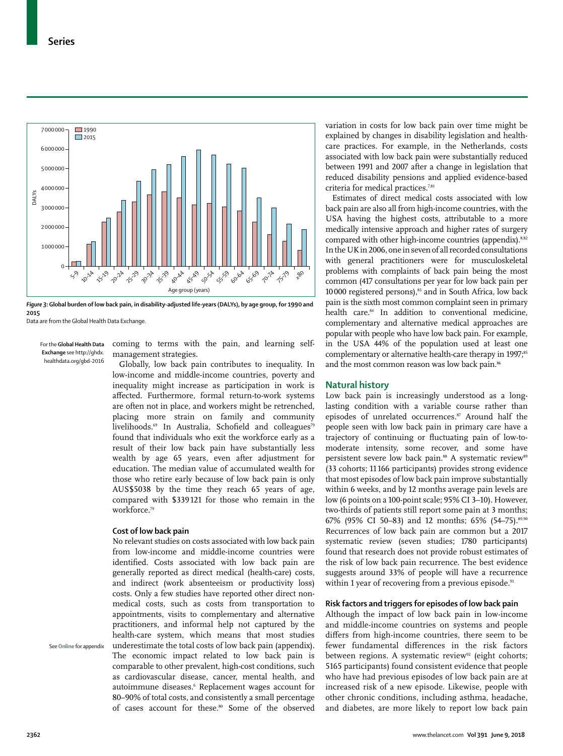

*Figure 3:* **Global burden of low back pain, in disability-adjusted life-years (DALYs), by age group, for 1990 and 2015** 

Data are from the [Global Health Data Exchange](http://ghdx.healthdata.org/).

For the **Global Health Data Exchange** see [http://ghdx.](http://ghdx.healthdata.org/) [healthdata.org/g](http://ghdx.healthdata.org/)bd-2016

coming to terms with the pain, and learning selfmanagement strategies.

Globally, low back pain contributes to inequality. In low-income and middle-income countries, poverty and inequality might increase as participation in work is affected. Furthermore, formal return-to-work systems are often not in place, and workers might be retrenched, placing more strain on family and community livelihoods.<sup>69</sup> In Australia, Schofield and colleagues<sup>79</sup> found that individuals who exit the workforce early as a result of their low back pain have substantially less wealth by age 65 years, even after adjustment for education. The median value of accumulated wealth for those who retire early because of low back pain is only AUS\$5038 by the time they reach 65 years of age, compared with \$339 121 for those who remain in the workforce.79

#### **Cost of low back pain**

No relevant studies on costs associated with low back pain from low-income and middle-income countries were identified. Costs associated with low back pain are generally reported as direct medical (health-care) costs, and indirect (work absenteeism or productivity loss) costs. Only a few studies have reported other direct nonmedical costs, such as costs from transportation to appointments, visits to complementary and alternative practitioners, and informal help not captured by the health-care system, which means that most studies underestimate the total costs of low back pain (appendix). The economic impact related to low back pain is comparable to other prevalent, high-cost conditions, such as cardiovascular disease, cancer, mental health, and autoimmune diseases.6 Replacement wages account for 80–90% of total costs, and consistently a small percentage of cases account for these.<sup>80</sup> Some of the observed

variation in costs for low back pain over time might be explained by changes in disability legislation and healthcare practices. For example, in the Netherlands, costs associated with low back pain were substantially reduced between 1991 and 2007 after a change in legislation that reduced disability pensions and applied evidence-based criteria for medical practices.<sup>7,81</sup>

Estimates of direct medical costs associated with low back pain are also all from high-income countries, with the USA having the highest costs, attributable to a more medically intensive approach and higher rates of surgery compared with other high-income countries (appendix).<sup>8,82</sup> In the UK in 2006, one in seven of all recorded consultations with general practitioners were for musculoskeletal problems with complaints of back pain being the most common (417 consultations per year for low back pain per 10000 registered persons),<sup>83</sup> and in South Africa, low back pain is the sixth most common complaint seen in primary health care.<sup>84</sup> In addition to conventional medicine, complementary and alternative medical approaches are popular with people who have low back pain. For example, in the USA 44% of the population used at least one complementary or alternative health-care therapy in 1997;<sup>85</sup> and the most common reason was low back pain.<sup>86</sup>

#### **Natural history**

Low back pain is increasingly understood as a longlasting condition with a variable course rather than episodes of unrelated occurrences.<sup>87</sup> Around half the people seen with low back pain in primary care have a trajectory of continuing or fluctuating pain of low-tomoderate intensity, some recover, and some have persistent severe low back pain.<sup>88</sup> A systematic review<sup>89</sup> (33 cohorts; 11 166 participants) provides strong evidence that most episodes of low back pain improve substantially within 6 weeks, and by 12 months average pain levels are low (6 points on a 100-point scale; 95% CI 3–10). However, two-thirds of patients still report some pain at 3 months; 67% (95% CI 50–83) and 12 months; 65% (54–75).89,90 Recurrences of low back pain are common but a 2017 systematic review (seven studies; 1780 participants) found that research does not provide robust estimates of the risk of low back pain recurrence. The best evidence suggests around 33% of people will have a recurrence within 1 year of recovering from a previous episode.<sup>91</sup>

#### **Risk factors and triggers for episodes of low back pain**

Although the impact of low back pain in low-income and middle-income countries on systems and people differs from high-income countries, there seem to be fewer fundamental differences in the risk factors between regions. A systematic review<sup>92</sup> (eight cohorts; 5165 participants) found consistent evidence that people who have had previous episodes of low back pain are at increased risk of a new episode. Likewise, people with other chronic conditions, including asthma, headache, and diabetes, are more likely to report low back pain

See **Online** for appendix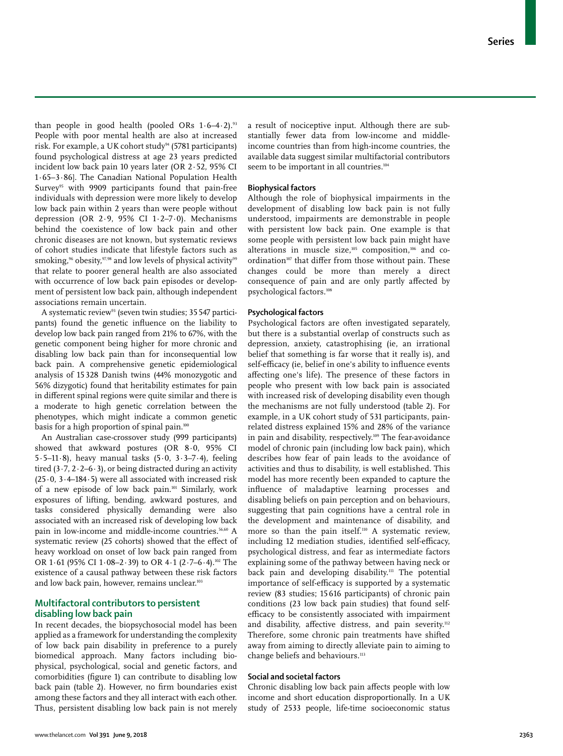than people in good health (pooled ORs  $1.6-4.2$ ).<sup>93</sup> People with poor mental health are also at increased risk. For example, a UK cohort study<sup>94</sup> (5781 participants) found psychological distress at age 23 years predicted incident low back pain 10 years later (OR 2·52, 95% CI 1·65–3·86]. The Canadian National Population Health Survey<sup>95</sup> with 9909 participants found that pain-free individuals with depression were more likely to develop low back pain within 2 years than were people without depression (OR 2·9, 95% CI 1·2–7·0). Mechanisms behind the coexistence of low back pain and other chronic diseases are not known, but systematic reviews of cohort studies indicate that lifestyle factors such as smoking,<sup>96</sup> obesity,<sup>97,98</sup> and low levels of physical activity<sup>95</sup> that relate to poorer general health are also associated with occurrence of low back pain episodes or development of persistent low back pain, although independent associations remain uncertain.

A systematic review<sup>93</sup> (seven twin studies; 35547 participants) found the genetic influence on the liability to develop low back pain ranged from 21% to 67%, with the genetic component being higher for more chronic and disabling low back pain than for inconsequential low back pain. A comprehensive genetic epidemiological analysis of 15328 Danish twins (44% monozygotic and 56% dizygotic) found that heritability estimates for pain in different spinal regions were quite similar and there is a moderate to high genetic correlation between the phenotypes, which might indicate a common genetic basis for a high proportion of spinal pain.<sup>100</sup>

An Australian case-crossover study (999 participants) showed that awkward postures (OR 8·0, 95% CI 5·5–11·8), heavy manual tasks (5·0, 3·3–7·4), feeling tired  $(3.7, 2.2 - 6.3)$ , or being distracted during an activity  $(25.0, 3.4–184.5)$  were all associated with increased risk of a new episode of low back pain.101 Similarly, work exposures of lifting, bending, awkward postures, and tasks considered physically demanding were also associated with an increased risk of developing low back pain in low-income and middle-income countries.<sup>56,60</sup> A systematic review (25 cohorts) showed that the effect of heavy workload on onset of low back pain ranged from OR 1.61 (95% CI 1.08–2.39) to OR 4.1 (2.7–6.4).<sup>102</sup> The existence of a causal pathway between these risk factors and low back pain, however, remains unclear.103

#### **Multifactoral contributors to persistent disabling low back pain**

In recent decades, the biopsychosocial model has been applied as a framework for understanding the complexity of low back pain disability in preference to a purely biomedical approach. Many factors including biophysical, psychological, social and genetic factors, and comorbidities (figure 1) can contribute to disabling low back pain (table 2). However, no firm boundaries exist among these factors and they all interact with each other. Thus, persistent disabling low back pain is not merely a result of nociceptive input. Although there are substantially fewer data from low-income and middleincome countries than from high-income countries, the available data suggest similar multifactorial contributors seem to be important in all countries.<sup>104</sup>

#### **Biophysical factors**

Although the role of biophysical impairments in the development of disabling low back pain is not fully understood, impairments are demonstrable in people with persistent low back pain. One example is that some people with persistent low back pain might have alterations in muscle size,105 composition,106 and coordination<sup>107</sup> that differ from those without pain. These changes could be more than merely a direct consequence of pain and are only partly affected by psychological factors.108

#### **Psychological factors**

Psychological factors are often investigated separately, but there is a substantial overlap of constructs such as depression, anxiety, catastrophising (ie, an irrational belief that something is far worse that it really is), and self-efficacy (ie, belief in one's ability to influence events affecting one's life). The presence of these factors in people who present with low back pain is associated with increased risk of developing disability even though the mechanisms are not fully understood (table 2). For example, in a UK cohort study of 531 participants, painrelated distress explained 15% and 28% of the variance in pain and disability, respectively.<sup>109</sup> The fear-avoidance model of chronic pain (including low back pain), which describes how fear of pain leads to the avoidance of activities and thus to disability, is well established. This model has more recently been expanded to capture the influence of maladaptive learning processes and disabling beliefs on pain perception and on behaviours, suggesting that pain cognitions have a central role in the development and maintenance of disability, and more so than the pain itself.110 A systematic review, including 12 mediation studies, identified self-efficacy, psychological distress, and fear as intermediate factors explaining some of the pathway between having neck or back pain and developing disability.<sup>111</sup> The potential importance of self-efficacy is supported by a systematic review (83 studies; 15 616 participants) of chronic pain conditions (23 low back pain studies) that found selfefficacy to be consistently associated with impairment and disability, affective distress, and pain severity.<sup>112</sup> Therefore, some chronic pain treatments have shifted away from aiming to directly alleviate pain to aiming to change beliefs and behaviours.<sup>113</sup>

#### **Social and societal factors**

Chronic disabling low back pain affects people with low income and short education disproportionally. In a UK study of 2533 people, life-time socioeconomic status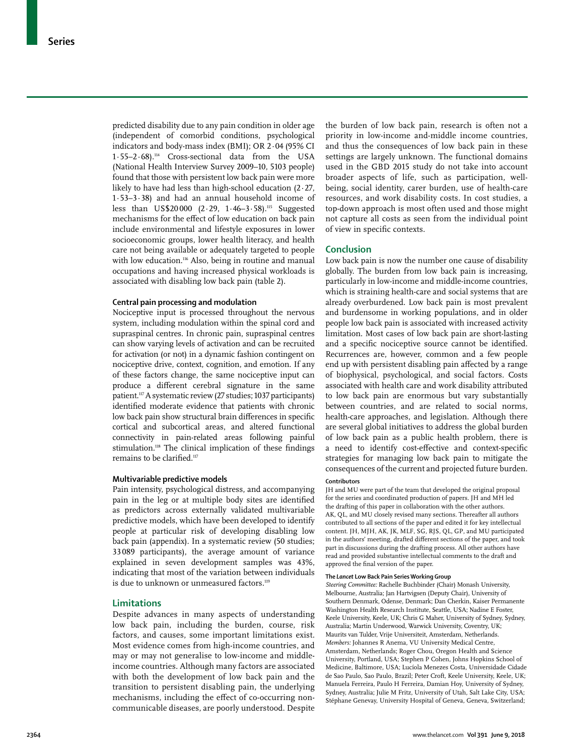predicted disability due to any pain condition in older age (independent of comorbid conditions, psychological indicators and body-mass index (BMI); OR 2·04 (95% CI 1·55–2·68).114 Cross-sectional data from the USA (National Health Interview Survey 2009–10, 5103 people) found that those with persistent low back pain were more likely to have had less than high-school education (2·27, 1·53–3·38) and had an annual household income of less than US\$20000 (2.29, 1.46-3.58).<sup>115</sup> Suggested mechanisms for the effect of low education on back pain include environmental and lifestyle exposures in lower socioeconomic groups, lower health literacy, and health care not being available or adequately targeted to people with low education.<sup>116</sup> Also, being in routine and manual occupations and having increased physical workloads is associated with disabling low back pain (table 2).

#### **Central pain processing and modulation**

Nociceptive input is processed throughout the nervous system, including modulation within the spinal cord and supraspinal centres. In chronic pain, supraspinal centres can show varying levels of activation and can be recruited for activation (or not) in a dynamic fashion contingent on nociceptive drive, context, cognition, and emotion. If any of these factors change, the same nociceptive input can produce a different cerebral signature in the same patient.117 A systematic review (27 studies; 1037 participants) identified moderate evidence that patients with chronic low back pain show structural brain differences in specific cortical and subcortical areas, and altered functional connectivity in pain-related areas following painful stimulation.<sup>118</sup> The clinical implication of these findings remains to be clarified.<sup>117</sup>

#### **Multivariable predictive models**

Pain intensity, psychological distress, and accompanying pain in the leg or at multiple body sites are identified as predictors across externally validated multivariable predictive models, which have been developed to identify people at particular risk of developing disabling low back pain (appendix). In a systematic review (50 studies; 33 089 participants), the average amount of variance explained in seven development samples was 43%, indicating that most of the variation between individuals is due to unknown or unmeasured factors.<sup>119</sup>

#### **Limitations**

Despite advances in many aspects of understanding low back pain, including the burden, course, risk factors, and causes, some important limitations exist. Most evidence comes from high-income countries, and may or may not generalise to low-income and middleincome countries. Although many factors are associated with both the development of low back pain and the transition to persistent disabling pain, the underlying mechanisms, including the effect of co-occurring noncommunicable diseases, are poorly understood. Despite

the burden of low back pain, research is often not a priority in low-income and-middle income countries, and thus the consequences of low back pain in these settings are largely unknown. The functional domains used in the GBD 2015 study do not take into account broader aspects of life, such as participation, wellbeing, social identity, carer burden, use of health-care resources, and work disability costs. In cost studies, a top-down approach is most often used and those might not capture all costs as seen from the individual point of view in specific contexts.

#### **Conclusion**

Low back pain is now the number one cause of disability globally. The burden from low back pain is increasing, particularly in low-income and middle-income countries, which is straining health-care and social systems that are already overburdened. Low back pain is most prevalent and burdensome in working populations, and in older people low back pain is associated with increased activity limitation. Most cases of low back pain are short-lasting and a specific nociceptive source cannot be identified. Recurrences are, however, common and a few people end up with persistent disabling pain affected by a range of biophysical, psychological, and social factors. Costs associated with health care and work disability attributed to low back pain are enormous but vary substantially between countries, and are related to social norms, health-care approaches, and legislation. Although there are several global initiatives to address the global burden of low back pain as a public health problem, there is a need to identify cost-effective and context-specific strategies for managing low back pain to mitigate the consequences of the current and projected future burden.

#### **Contributors**

JH and MU were part of the team that developed the original proposal for the series and coordinated production of papers. JH and MH led the drafting of this paper in collaboration with the other authors. AK, QL, and MU closely revised many sections. Thereafter all authors contributed to all sections of the paper and edited it for key intellectual content. JH, MJH, AK, JK, MLF, SG, RJS, QL, GP, and MU participated in the authors' meeting, drafted different sections of the paper, and took part in discussions during the drafting process. All other authors have read and provided substantive intellectual comments to the draft and approved the final version of the paper.

#### **The** *Lancet* **Low Back Pain Series Working Group**

*Steering Committee:* Rachelle Buchbinder (Chair) Monash University, Melbourne, Australia; Jan Hartvigsen (Deputy Chair), University of Southern Denmark, Odense, Denmark; Dan Cherkin, Kaiser Permanente Washington Health Research Institute, Seattle, USA; Nadine E Foster, Keele University, Keele, UK; Chris G Maher, University of Sydney, Sydney, Australia; Martin Underwood, Warwick University, Coventry, UK; Maurits van Tulder, Vrije Universiteit, Amsterdam, Netherlands. *Members:* Johannes R Anema, VU University Medical Centre, Amsterdam, Netherlands; Roger Chou, Oregon Health and Science University, Portland, USA; Stephen P Cohen, Johns Hopkins School of Medicine, Baltimore, USA; Lucíola Menezes Costa, Universidade Cidade de Sao Paulo, Sao Paulo, Brazil; Peter Croft, Keele University, Keele, UK; Manuela Ferreira, Paulo H Ferreira, Damian Hoy, University of Sydney, Sydney, Australia; Julie M Fritz, University of Utah, Salt Lake City, USA; Stéphane Genevay, University Hospital of Geneva, Geneva, Switzerland;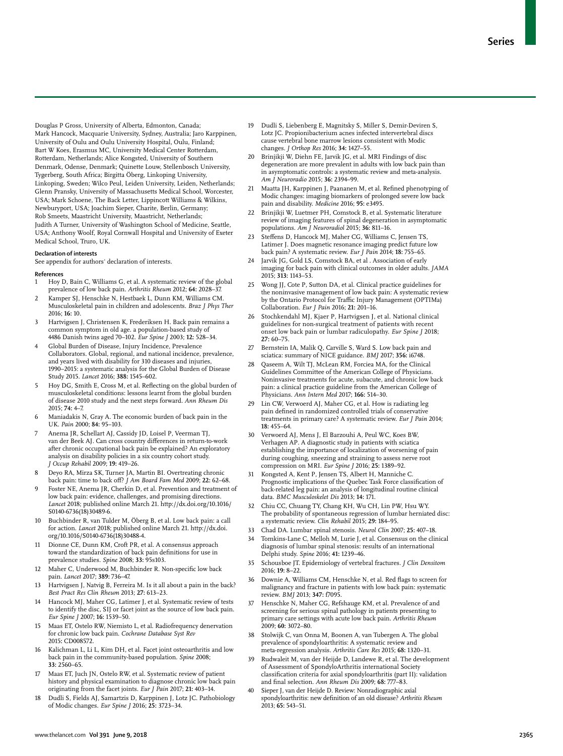Douglas P Gross, University of Alberta, Edmonton, Canada; Mark Hancock, Macquarie University, Sydney, Australia; Jaro Karppinen, University of Oulu and Oulu University Hospital, Oulu, Finland; Bart W Koes, Erasmus MC, University Medical Center Rotterdam, Rotterdam, Netherlands; Alice Kongsted, University of Southern Denmark, Odense, Denmark; Quinette Louw, Stellenbosch University, Tygerberg, South Africa; Birgitta Öberg, Linkoping University, Linkoping, Sweden; Wilco Peul, Leiden University, Leiden, Netherlands; Glenn Pransky, University of Massachusetts Medical School, Worcester, USA; Mark Schoene, The Back Letter, Lippincott Williams & Wilkins, Newburyport, USA; Joachim Sieper, Charite, Berlin, Germany; Rob Smeets, Maastricht University, Maastricht, Netherlands; Judith A Turner, University of Washington School of Medicine, Seattle, USA; Anthony Woolf, Royal Cornwall Hospital and University of Exeter Medical School, Truro, UK.

**Declaration of interests** See appendix for authors' declaration of interests.

#### **References**

- 1 Hoy D, Bain C, Williams G, et al. A systematic review of the global prevalence of low back pain. *Arthritis Rheum* 2012; **64:** 2028–37.
- 2 Kamper SJ, Henschke N, Hestbaek L, Dunn KM, Williams CM. Musculoskeletal pain in children and adolescents. *Braz J Phys Ther* 2016; **16:** 10.
- 3 Hartvigsen J, Christensen K, Frederiksen H. Back pain remains a common symptom in old age. a population-based study of 4486 Danish twins aged 70–102. *Eur Spine J* 2003; **12:** 528–34.
- 4 Global Burden of Disease, Injury Incidence, Prevalence Collaborators. Global, regional, and national incidence, prevalence, and years lived with disability for 310 diseases and injuries, 1990–2015: a systematic analysis for the Global Burden of Disease Study 2015. *Lancet* 2016; **388:** 1545–602.
- 5 Hoy DG, Smith E, Cross M, et al. Reflecting on the global burden of musculoskeletal conditions: lessons learnt from the global burden of disease 2010 study and the next steps forward. *Ann Rheum Dis* 2015; **74:** 4–7.
- 6 Maniadakis N, Gray A. The economic burden of back pain in the UK. *Pain* 2000; **84:** 95–103.
- 7 Anema JR, Schellart AJ, Cassidy JD, Loisel P, Veerman TJ, van der Beek AJ. Can cross country differences in return-to-work after chronic occupational back pain be explained? An exploratory analysis on disability policies in a six country cohort study. *J Occup Rehabil* 2009; **19:** 419–26.
- Deyo RA, Mirza SK, Turner JA, Martin BI. Overtreating chronic back pain: time to back off? *J Am Board Fam Med* 2009; **22:** 62–68.
- Foster NE, Anema JR, Cherkin D, et al. Prevention and treatment of low back pain: evidence, challenges, and promising directions. *Lancet* 2018; published online March 21. http://dx.doi.org/10.1016/ S0140-6736(18)30489-6.
- 10 Buchbinder R, van Tulder M, Öberg B, et al. Low back pain: a call for action. *Lancet* 2018; published online March 21. http://dx.doi. org/10.1016/S0140-6736(18)30488-4.
- 11 Dionne CE, Dunn KM, Croft PR, et al. A consensus approach toward the standardization of back pain definitions for use in prevalence studies. *Spine* 2008; **33:** 95s103.
- 12 Maher C, Underwood M, Buchbinder R. Non-specific low back pain. *Lancet* 2017; **389:** 736–47.
- 13 Hartvigsen J, Natvig B, Ferreira M. Is it all about a pain in the back? *Best Pract Res Clin Rheum* 2013; **27:** 613–23.
- Hancock MJ, Maher CG, Latimer J, et al. Systematic review of tests to identify the disc, SIJ or facet joint as the source of low back pain. *Eur Spine J* 2007; **16:** 1539–50.
- 15 Maas ET, Ostelo RW, Niemisto L, et al. Radiofrequency denervation for chronic low back pain. *Cochrane Database Syst Rev*  2015**:** CD008572.
- Kalichman L, Li L, Kim DH, et al. Facet joint osteoarthritis and low back pain in the community-based population. *Spine* 2008; **33:** 2560–65.
- 17 Maas ET, Juch JN, Ostelo RW, et al. Systematic review of patient history and physical examination to diagnose chronic low back pain originating from the facet joints. *Eur J Pain* 2017; **21:** 403–14.
- 18 Dudli S, Fields AJ, Samartzis D, Karppinen J, Lotz JC. Pathobiology of Modic changes. *Eur Spine J* 2016; **25:** 3723–34.
- 19 Dudli S, Liebenberg E, Magnitsky S, Miller S, Demir-Deviren S, Lotz JC. Propionibacterium acnes infected intervertebral discs cause vertebral bone marrow lesions consistent with Modic changes. *J Orthop Res* 2016; **34:** 1427–55.
- 20 Brinjikji W, Diehn FE, Jarvik JG, et al. MRI Findings of disc degeneration are more prevalent in adults with low back pain than in asymptomatic controls: a systematic review and meta-analysis. *Am J Neuroradio* 2015; **36:** 2394–99.
- Maatta JH, Karppinen J, Paananen M, et al. Refined phenotyping of Modic changes: imaging biomarkers of prolonged severe low back pain and disability. *Medicine* 2016; **95:** e3495.
- 22 Brinjikji W, Luetmer PH, Comstock B, et al. Systematic literature review of imaging features of spinal degeneration in asymptomatic populations. *Am J Neuroradiol* 2015; **36:** 811–16.
- Steffens D, Hancock MJ, Maher CG, Williams C, Jensen TS, Latimer J. Does magnetic resonance imaging predict future low back pain? A systematic review. *Eur J Pain* 2014; **18:** 755–65.
- 24 Jarvik JG, Gold LS, Comstock BA, et al . Association of early imaging for back pain with clinical outcomes in older adults. *JAMA* 2015; **313:** 1143–53.
- 25 Wong JJ, Cote P, Sutton DA, et al. Clinical practice guidelines for the noninvasive management of low back pain: A systematic review by the Ontario Protocol for Traffic Injury Management (OPTIMa) Collaboration. *Eur J Pain* 2016; **21:** 201–16.
- 26 Stochkendahl MJ, Kjaer P, Hartvigsen J, et al. National clinical guidelines for non-surgical treatment of patients with recent onset low back pain or lumbar radiculopathy. *Eur Spine J* 2018; **27:** 60–75.
- 27 Bernstein IA, Malik Q, Carville S, Ward S. Low back pain and sciatica: summary of NICE guidance. *BMJ* 2017; **356:** i6748.
- 28 Qaseem A, Wilt TJ, McLean RM, Forciea MA, for the Clinical Guidelines Committee of the American College of Physicians. Noninvasive treatments for acute, subacute, and chronic low back pain: a clinical practice guideline from the American College of Physicians. *Ann Intern Med* 2017; **166:** 514–30.
- Lin CW, Verwoerd AJ, Maher CG, et al. How is radiating leg pain defined in randomized controlled trials of conservative treatments in primary care? A systematic review. *Eur J Pain* 2014; **18:** 455–64.
- 30 Verwoerd AJ, Mens J, El Barzouhi A, Peul WC, Koes BW, Verhagen AP. A diagnostic study in patients with sciatica establishing the importance of localization of worsening of pain during coughing, sneezing and straining to assess nerve root compression on MRI. *Eur Spine J* 2016; **25:** 1389–92.
- 31 Kongsted A, Kent P, Jensen TS, Albert H, Manniche C. Prognostic implications of the Quebec Task Force classification of back-related leg pain: an analysis of longitudinal routine clinical data. *BMC Musculoskelet Dis* 2013; **14:** 171.
- 32 Chiu CC, Chuang TY, Chang KH, Wu CH, Lin PW, Hsu WY. The probability of spontaneous regression of lumbar herniated disc: a systematic review. *Clin Rehabil* 2015; **29:** 184–95.
- 33 Chad DA. Lumbar spinal stenosis. *Neurol Clin* 2007; **25:** 407–18.
- 34 Tomkins-Lane C, Melloh M, Lurie J, et al. Consensus on the clinical diagnosis of lumbar spinal stenosis: results of an international Delphi study. *Spine* 2016; **41:** 1239–46.
- 35 Schousboe JT. Epidemiology of vertebral fractures. *J Clin Densitom* 2016; **19:** 8–22.
- Downie A, Williams CM, Henschke N, et al. Red flags to screen for malignancy and fracture in patients with low back pain: systematic review. *BMJ* 2013; **347:** f7095.
- 37 Henschke N, Maher CG, Refshauge KM, et al. Prevalence of and screening for serious spinal pathology in patients presenting to primary care settings with acute low back pain. *Arthritis Rheum* 2009; **60:** 3072–80.
- 38 Stolwijk C, van Onna M, Boonen A, van Tubergen A. The global prevalence of spondyloarthritis: A systematic review and meta-regression analysis. *Arthritis Care Res* 2015; **68:** 1320–31.
- 39 Rudwaleit M, van der Heijde D, Landewe R, et al. The development of Assessment of SpondyloArthritis international Society classification criteria for axial spondyloarthritis (part II): validation and final selection. *Ann Rheum Dis* 2009; **68:** 777–83.
- Sieper J, van der Heijde D. Review: Nonradiographic axial spondyloarthritis: new definition of an old disease? *Arthritis Rheum* 2013; **65:** 543–51.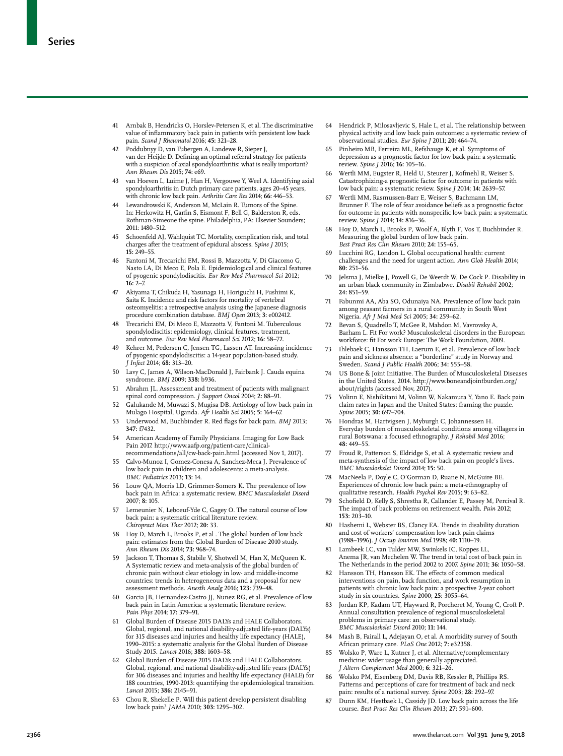- 41 Arnbak B, Hendricks O, Horslev-Petersen K, et al. The discriminative value of inflammatory back pain in patients with persistent low back pain. *Scand J Rheumatol* 2016; **45:** 321–28.
- 42 Poddubnyy D, van Tubergen A, Landewe R, Sieper J, van der Heijde D. Defining an optimal referral strategy for patients with a suspicion of axial spondyloarthritis: what is really important? *Ann Rheum Dis* 2015; **74:** e69.
- 43 van Hoeven L, Luime J, Han H, Vergouwe Y, Weel A. Identifying axial spondyloarthritis in Dutch primary care patients, ages 20–45 years, with chronic low back pain. *Arthritis Care Res* 2014; **66:** 446–53.
- 44 Lewandrowski K, Anderson M, McLain R. Tumors of the Spine. In: Herkowitz H, Garfin S, Eismont F, Bell G, Balderston R, eds. Rothman-Simeone the spine. Philadelphia, PA: Elsevier Sounders; 2011: 1480–512.
- 45 Schoenfeld AJ, Wahlquist TC. Mortality, complication risk, and total charges after the treatment of epidural abscess. S*pine J* 2015; **15:** 249–55.
- 46 Fantoni M, Trecarichi EM, Rossi B, Mazzotta V, Di Giacomo G, Nasto LA, Di Meco E, Pola E. Epidemiological and clinical features of pyogenic spondylodiscitis. *Eur Rev Med Pharmacol Sci* 2012; **16:** 2–7.
- 47 Akiyama T, Chikuda H, Yasunaga H, Horiguchi H, Fushimi K, Saita K. Incidence and risk factors for mortality of vertebral osteomyelitis: a retrospective analysis using the Japanese diagnosis procedure combination database. *BMJ Open* 2013; **3:** e002412.
- 48 Trecarichi EM, Di Meco E, Mazzotta V, Fantoni M. Tuberculous spondylodiscitis: epidemiology, clinical features, treatment, and outcome. *Eur Rev Med Pharmacol Sci* 2012; **16:** 58–72.
- Kehrer M, Pedersen C, Jensen TG, Lassen AT. Increasing incidence of pyogenic spondylodiscitis: a 14-year population-based study. *J Infect* 2014; **68:** 313–20.
- 50 Lavy C, James A, Wilson-MacDonald J, Fairbank J. Cauda equina syndrome. *BMJ* 2009; **338:** b936.
- 51 Abrahm JL. Assessment and treatment of patients with malignant spinal cord compression. *J Support Oncol* 2004; **2:** 88–91.
- 52 Galukande M, Muwazi S, Mugisa DB. Aetiology of low back pain in Mulago Hospital, Uganda. *Afr Health Sci* 2005; **5:** 164–67.
- 53 Underwood M, Buchbinder R. Red flags for back pain. *BMJ* 2013; **347:** f7432.
- American Academy of Family Physicians. Imaging for Low Back Pain 2017. http://www.aafp.org/patient-care/clinicalrecommendations/all/cw-back-pain.html (accessed Nov 1, 2017).
- 55 Calvo-Munoz I, Gomez-Conesa A, Sanchez-Meca J. Prevalence of low back pain in children and adolescents: a meta-analysis. *BMC Pediatrics* 2013; **13:** 14.
- 56 Louw QA, Morris LD, Grimmer-Somers K. The prevalence of low back pain in Africa: a systematic review. *BMC Musculoskelet Disord* 2007; **8:** 105.
- 57 Lemeunier N, Leboeuf-Yde C, Gagey O. The natural course of low back pain: a systematic critical literature review. *Chiropract Man Ther* 2012; **20:** 33.
- 58 Hoy D, March L, Brooks P, et al . The global burden of low back pain: estimates from the Global Burden of Disease 2010 study. *Ann Rheum Dis* 2014; **73:** 968–74.
- 59 Jackson T, Thomas S, Stabile V, Shotwell M, Han X, McQueen K. A Systematic review and meta-analysis of the global burden of chronic pain without clear etiology in low- and middle-income countries: trends in heterogeneous data and a proposal for new assessment methods. *Anesth Analg* 2016; **123:** 739–48.
- 60 Garcia JB, Hernandez-Castro JJ, Nunez RG, et al. Prevalence of low back pain in Latin America: a systematic literature review. *Pain Phys* 2014; **17:** 379–91.
- 61 Global Burden of Disease 2015 DALYs and HALE Collaborators. Global, regional, and national disability-adjusted life-years (DALYs) for 315 diseases and injuries and healthy life expectancy (HALE), 1990–2015: a systematic analysis for the Global Burden of Disease Study 2015. *Lancet* 2016; **388:** 1603–58.
- Global Burden of Disease 2015 DALYs and HALE Collaborators. Global, regional, and national disability-adjusted life years (DALYs) for 306 diseases and injuries and healthy life expectancy (HALE) for 188 countries, 1990-2013: quantifying the epidemiological transition. *Lancet* 2015; **386:** 2145–91.
- Chou R, Shekelle P. Will this patient develop persistent disabling low back pain? *JAMA* 2010; **303:** 1295–302.
- 64 Hendrick P, Milosavljevic S, Hale L, et al. The relationship between physical activity and low back pain outcomes: a systematic review of observational studies. *Eur Spine J* 2011; **20:** 464–74.
- 65 Pinheiro MB, Ferreira ML, Refshauge K, et al. Symptoms of depression as a prognostic factor for low back pain: a systematic review. *Spine J* 2016; **16:** 105–16.
- Wertli MM, Eugster R, Held U, Steurer J, Kofmehl R, Weiser S. Catastrophizing-a prognostic factor for outcome in patients with low back pain: a systematic review. S*pine J* 2014; **14:** 2639–57.
- 67 Wertli MM, Rasmussen-Barr E, Weiser S, Bachmann LM, Brunner F. The role of fear avoidance beliefs as a prognostic factor for outcome in patients with nonspecific low back pain: a systematic review. S*pine J* 2014; **14:** 816–36.
- 68 Hoy D, March L, Brooks P, Woolf A, Blyth F, Vos T, Buchbinder R. Measuring the global burden of low back pain. *Best Pract Res Clin Rheum* 2010; **24:** 155–65.
- 69 Lucchini RG, London L. Global occupational health: current challenges and the need for urgent action. *Ann Glob Health* 2014; **80:** 251–56.
- Jelsma J, Mielke J, Powell G, De Weerdt W, De Cock P. Disability in an urban black community in Zimbabwe. *Disabil Rehabil* 2002; **24:** 851–59.
- 71 Fabunmi AA, Aba SO, Odunaiya NA. Prevalence of low back pain among peasant farmers in a rural community in South West Nigeria. *Afr J Med Med Sci* 2005; **34:** 259–62.
- 72 Bevan S, Quadrello T, McGee R, Mahdon M, Vavrovsky A, Barham L. Fit For work? Musculoskeletal disorders in the European workforce: fit For work Europe: The Work Foundation, 2009.
- 73 Ihlebaek C, Hansson TH, Laerum E, et al. Prevalence of low back pain and sickness absence: a "borderline" study in Norway and Sweden. *Scand J Public Health* 2006; **34:** 555–58.
- 74 US Bone & Joint Initiative. The Burden of Musculoskeletal Diseases in the United States, 2014. http://www.boneandjointburden.org/ about/rights (accessed Nov, 2017).
- 75 Volinn E, Nishikitani M, Volinn W, Nakamura Y, Yano E. Back pain claim rates in Japan and the United States: framing the puzzle. *Spine* 2005; **30:** 697–704.
- Hondras M, Hartvigsen J, Myburgh C, Johannessen H. Everyday burden of musculoskeletal conditions among villagers in rural Botswana: a focused ethnography. *J Rehabil Med* 2016; **48:** 449–55.
- 77 Froud R, Patterson S, Eldridge S, et al. A systematic review and meta-synthesis of the impact of low back pain on people's lives. *BMC Musculoskelet Disord* 2014; **15:** 50.
- MacNeela P, Doyle C, O'Gorman D, Ruane N, McGuire BE. Experiences of chronic low back pain: a meta-ethnography of qualitative research. *Health Psychol Rev* 2015; **9:** 63–82.
- Schofield D, Kelly S, Shrestha R, Callander E, Passey M, Percival R. The impact of back problems on retirement wealth. *Pain* 2012; **153:** 203–10.
- 80 Hashemi L, Webster BS, Clancy EA. Trends in disability duration and cost of workers' compensation low back pain claims (1988–1996). *J Occup Environ Med* 1998; **40:** 1110–19.
- Lambeek LC, van Tulder MW, Swinkels IC, Koppes LL Anema JR, van Mechelen W. The trend in total cost of back pain in The Netherlands in the period 2002 to 2007. *Spine* 2011; **36:** 1050–58.
- 82 Hansson TH, Hansson EK. The effects of common medical interventions on pain, back function, and work resumption in patients with chronic low back pain: a prospective 2-year cohort study in six countries. *Spine* 2000; **25:** 3055–64.
- 83 Jordan KP, Kadam UT, Hayward R, Porcheret M, Young C, Croft P. Annual consultation prevalence of regional musculoskeletal problems in primary care: an observational study. *BMC Musculoskelet Disord* 2010; **11:** 144.
- 84 Mash B, Fairall L, Adejayan O, et al. A morbidity survey of South African primary care. *PLoS One* 2012; **7:** e32358.
- 85 Wolsko P, Ware L, Kutner J, et al. Alternative/complementary medicine: wider usage than generally appreciated. *J Altern Complement Med* 2000; **6:** 321–26.
- 86 Wolsko PM, Eisenberg DM, Davis RB, Kessler R, Phillips RS. Patterns and perceptions of care for treatment of back and neck pain: results of a national survey. *Spine* 2003; **28:** 292–97.
- 87 Dunn KM, Hestbaek L, Cassidy JD. Low back pain across the life course. *Best Pract Res Clin Rheum* 2013; **27:** 591–600.